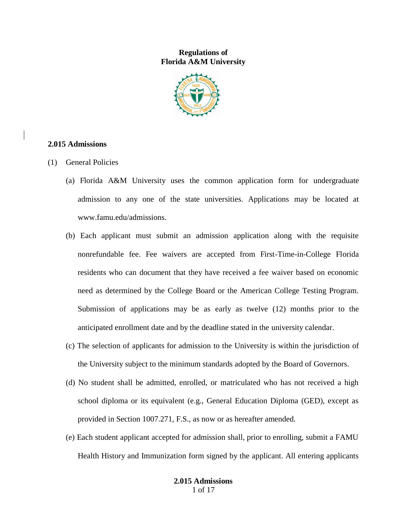## **Regulations of Florida A&M University**



## **2.015 Admissions**

- (1) General Policies
	- (a) Florida A&M University uses the common application form for undergraduate admission to any one of the state universities. Applications may be located at www.famu.edu/admissions.
	- (b) Each applicant must submit an admission application along with the requisite nonrefundable fee. Fee waivers are accepted from First-Time-in-College Florida residents who can document that they have received a fee waiver based on economic need as determined by the College Board or the American College Testing Program. Submission of applications may be as early as twelve (12) months prior to the anticipated enrollment date and by the deadline stated in the university calendar.
	- (c) The selection of applicants for admission to the University is within the jurisdiction of the University subject to the minimum standards adopted by the Board of Governors.
	- (d) No student shall be admitted, enrolled, or matriculated who has not received a high school diploma or its equivalent (e.g., General Education Diploma (GED), except as provided in Section 1007.271, F.S., as now or as hereafter amended.
	- (e) Each student applicant accepted for admission shall, prior to enrolling, submit a FAMU Health History and Immunization form signed by the applicant. All entering applicants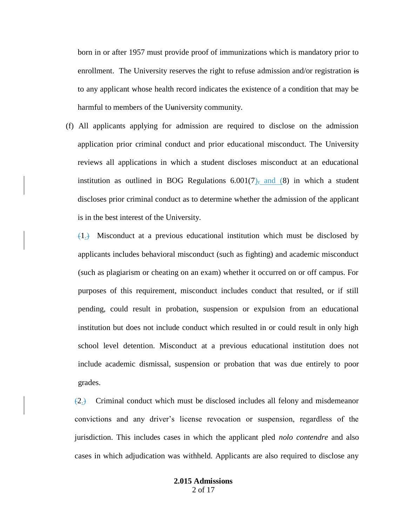born in or after 1957 must provide proof of immunizations which is mandatory prior to enrollment. The University reserves the right to refuse admission and/or registration is to any applicant whose health record indicates the existence of a condition that may be harmful to members of the Uuniversity community.

(f) All applicants applying for admission are required to disclose on the admission application prior criminal conduct and prior educational misconduct. The University reviews all applications in which a student discloses misconduct at an educational institution as outlined in BOG Regulations  $6.001(7)$ , and (8) in which a student discloses prior criminal conduct as to determine whether the admission of the applicant is in the best interest of the University.

 $(1)$ . Misconduct at a previous educational institution which must be disclosed by applicants includes behavioral misconduct (such as fighting) and academic misconduct (such as plagiarism or cheating on an exam) whether it occurred on or off campus. For purposes of this requirement, misconduct includes conduct that resulted, or if still pending, could result in probation, suspension or expulsion from an educational institution but does not include conduct which resulted in or could result in only high school level detention. Misconduct at a previous educational institution does not include academic dismissal, suspension or probation that was due entirely to poor grades.

 $(2)$  Criminal conduct which must be disclosed includes all felony and misdemeanor convictions and any driver's license revocation or suspension, regardless of the jurisdiction. This includes cases in which the applicant pled *nolo contendre* and also cases in which adjudication was withheld. Applicants are also required to disclose any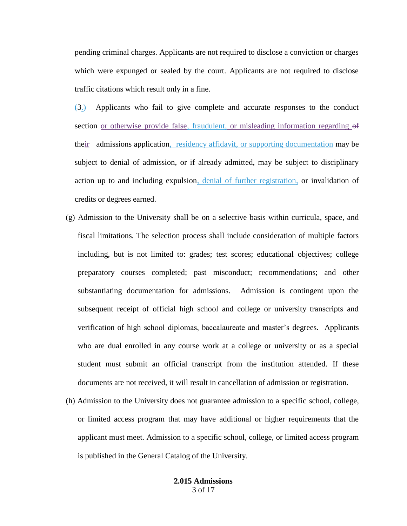pending criminal charges. Applicants are not required to disclose a conviction or charges which were expunged or sealed by the court. Applicants are not required to disclose traffic citations which result only in a fine.

 $(3.)$  Applicants who fail to give complete and accurate responses to the conduct section or otherwise provide false, fraudulent, or misleading information regarding of their admissions application, residency affidavit, or supporting documentation may be subject to denial of admission, or if already admitted, may be subject to disciplinary action up to and including expulsion, denial of further registration, or invalidation of credits or degrees earned.

- (g) Admission to the University shall be on a selective basis within curricula, space, and fiscal limitations. The selection process shall include consideration of multiple factors including, but is not limited to: grades; test scores; educational objectives; college preparatory courses completed; past misconduct; recommendations; and other substantiating documentation for admissions. Admission is contingent upon the subsequent receipt of official high school and college or university transcripts and verification of high school diplomas, baccalaureate and master's degrees. Applicants who are dual enrolled in any course work at a college or university or as a special student must submit an official transcript from the institution attended. If these documents are not received, it will result in cancellation of admission or registration.
- (h) Admission to the University does not guarantee admission to a specific school, college, or limited access program that may have additional or higher requirements that the applicant must meet. Admission to a specific school, college, or limited access program is published in the General Catalog of the University.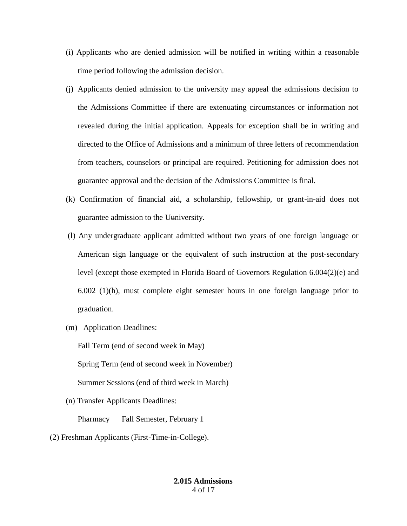- (i) Applicants who are denied admission will be notified in writing within a reasonable time period following the admission decision.
- (j) Applicants denied admission to the university may appeal the admissions decision to the Admissions Committee if there are extenuating circumstances or information not revealed during the initial application. Appeals for exception shall be in writing and directed to the Office of Admissions and a minimum of three letters of recommendation from teachers, counselors or principal are required. Petitioning for admission does not guarantee approval and the decision of the Admissions Committee is final.
- (k) Confirmation of financial aid, a scholarship, fellowship, or grant-in-aid does not guarantee admission to the Uuniversity.
- (l) Any undergraduate applicant admitted without two years of one foreign language or American sign language or the equivalent of such instruction at the post-secondary level (except those exempted in Florida Board of Governors Regulation 6.004(2)(e) and 6.002 (1)(h), must complete eight semester hours in one foreign language prior to graduation.
- (m) Application Deadlines:

Fall Term (end of second week in May)

Spring Term (end of second week in November)

Summer Sessions (end of third week in March)

(n) Transfer Applicants Deadlines:

Pharmacy Fall Semester, February 1

(2) Freshman Applicants (First-Time-in-College).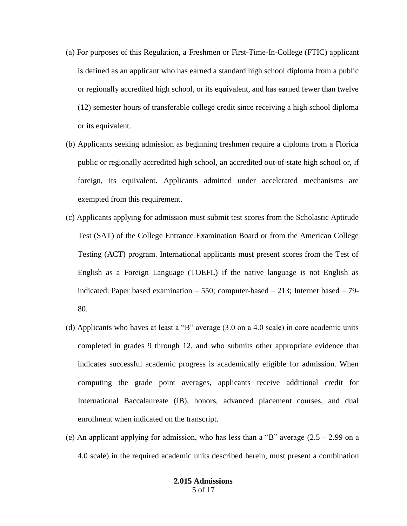- (a) For purposes of this Regulation, a Freshmen or First-Time-In-College (FTIC) applicant is defined as an applicant who has earned a standard high school diploma from a public or regionally accredited high school, or its equivalent, and has earned fewer than twelve (12) semester hours of transferable college credit since receiving a high school diploma or its equivalent.
- (b) Applicants seeking admission as beginning freshmen require a diploma from a Florida public or regionally accredited high school, an accredited out-of-state high school or, if foreign, its equivalent. Applicants admitted under accelerated mechanisms are exempted from this requirement.
- (c) Applicants applying for admission must submit test scores from the Scholastic Aptitude Test (SAT) of the College Entrance Examination Board or from the American College Testing (ACT) program. International applicants must present scores from the Test of English as a Foreign Language (TOEFL) if the native language is not English as indicated: Paper based examination  $-550$ ; computer-based  $-213$ ; Internet based  $-79$ -80.
- (d) Applicants who haves at least a "B" average (3.0 on a 4.0 scale) in core academic units completed in grades 9 through 12, and who submits other appropriate evidence that indicates successful academic progress is academically eligible for admission. When computing the grade point averages, applicants receive additional credit for International Baccalaureate (IB), honors, advanced placement courses, and dual enrollment when indicated on the transcript.
- (e) An applicant applying for admission, who has less than a "B" average  $(2.5 2.99)$  on a 4.0 scale) in the required academic units described herein, must present a combination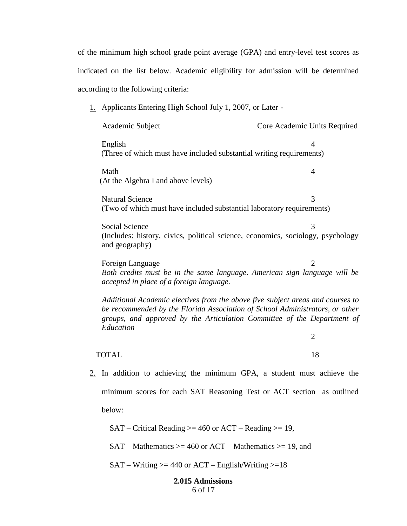of the minimum high school grade point average (GPA) and entry-level test scores as indicated on the list below. Academic eligibility for admission will be determined according to the following criteria:

1. Applicants Entering High School July 1, 2007, or Later -

*accepted in place of a foreign language.*

Academic Subject Core Academic Units Required English 4 (Three of which must have included substantial writing requirements) Math 4 (At the Algebra I and above levels) Natural Science 3 (Two of which must have included substantial laboratory requirements) Social Science 3 (Includes: history, civics, political science, economics, sociology, psychology and geography) Foreign Language 2 *Both credits must be in the same language. American sign language will be* 

*Additional Academic electives from the above five subject areas and courses to be recommended by the Florida Association of School Administrators, or other groups, and approved by the Articulation Committee of the Department of Education*

TOTAL 18

2

2. In addition to achieving the minimum GPA, a student must achieve the minimum scores for each SAT Reasoning Test or ACT section as outlined below:

 $SAT - Critical Reading \geq 460$  or  $ACT - Reading \geq 19$ ,

 $SAT - Mathematics \geq 460$  or  $ACT - Mathematics \geq 19$ , and

 $SAT - Writing \geq 440$  or  $ACT - English/Writing \geq 18$ 

## **2.015 Admissions** 6 of 17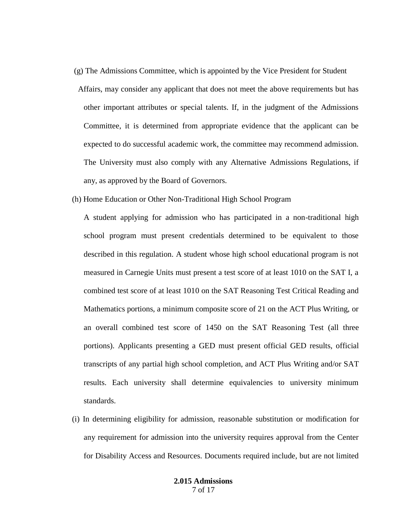- (g) The Admissions Committee, which is appointed by the Vice President for Student Affairs, may consider any applicant that does not meet the above requirements but has other important attributes or special talents. If, in the judgment of the Admissions Committee, it is determined from appropriate evidence that the applicant can be expected to do successful academic work, the committee may recommend admission. The University must also comply with any Alternative Admissions Regulations, if any, as approved by the Board of Governors.
- (h) Home Education or Other Non-Traditional High School Program

A student applying for admission who has participated in a non-traditional high school program must present credentials determined to be equivalent to those described in this regulation. A student whose high school educational program is not measured in Carnegie Units must present a test score of at least 1010 on the SAT I, a combined test score of at least 1010 on the SAT Reasoning Test Critical Reading and Mathematics portions, a minimum composite score of 21 on the ACT Plus Writing, or an overall combined test score of 1450 on the SAT Reasoning Test (all three portions). Applicants presenting a GED must present official GED results, official transcripts of any partial high school completion, and ACT Plus Writing and/or SAT results. Each university shall determine equivalencies to university minimum standards.

(i) In determining eligibility for admission, reasonable substitution or modification for any requirement for admission into the university requires approval from the Center for Disability Access and Resources. Documents required include, but are not limited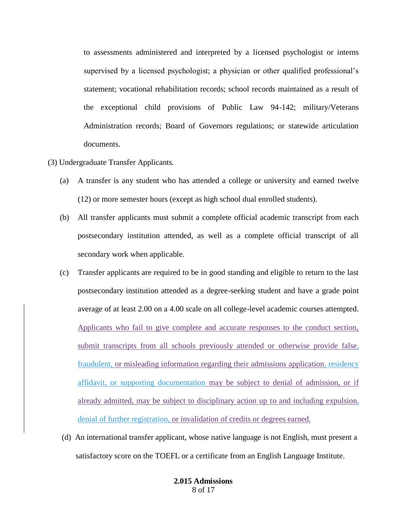to assessments administered and interpreted by a licensed psychologist or interns supervised by a licensed psychologist; a physician or other qualified professional's statement; vocational rehabilitation records; school records maintained as a result of the exceptional child provisions of Public Law 94-142; military/Veterans Administration records; Board of Governors regulations; or statewide articulation documents.

- (3) Undergraduate Transfer Applicants.
	- (a) A transfer is any student who has attended a college or university and earned twelve (12) or more semester hours (except as high school dual enrolled students).
	- (b) All transfer applicants must submit a complete official academic transcript from each postsecondary institution attended, as well as a complete official transcript of all secondary work when applicable.
	- (c) Transfer applicants are required to be in good standing and eligible to return to the last postsecondary institution attended as a degree-seeking student and have a grade point average of at least 2.00 on a 4.00 scale on all college-level academic courses attempted. Applicants who fail to give complete and accurate responses to the conduct section, submit transcripts from all schools previously attended or otherwise provide false, fraudulent, or misleading information regarding their admissions application, residency affidavit, or supporting documentation may be subject to denial of admission, or if already admitted, may be subject to disciplinary action up to and including expulsion, denial of further registration, or invalidation of credits or degrees earned.
	- (d) An international transfer applicant, whose native language is not English, must present a satisfactory score on the TOEFL or a certificate from an English Language Institute.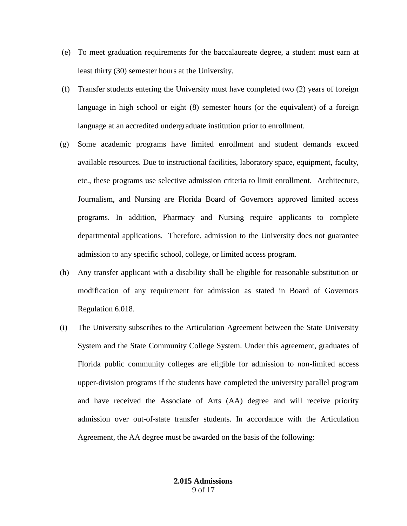- (e) To meet graduation requirements for the baccalaureate degree, a student must earn at least thirty (30) semester hours at the University.
- (f) Transfer students entering the University must have completed two (2) years of foreign language in high school or eight (8) semester hours (or the equivalent) of a foreign language at an accredited undergraduate institution prior to enrollment.
- (g) Some academic programs have limited enrollment and student demands exceed available resources. Due to instructional facilities, laboratory space, equipment, faculty, etc., these programs use selective admission criteria to limit enrollment. Architecture, Journalism, and Nursing are Florida Board of Governors approved limited access programs. In addition, Pharmacy and Nursing require applicants to complete departmental applications. Therefore, admission to the University does not guarantee admission to any specific school, college, or limited access program.
- (h) Any transfer applicant with a disability shall be eligible for reasonable substitution or modification of any requirement for admission as stated in Board of Governors Regulation 6.018.
- (i) The University subscribes to the Articulation Agreement between the State University System and the State Community College System. Under this agreement, graduates of Florida public community colleges are eligible for admission to non-limited access upper-division programs if the students have completed the university parallel program and have received the Associate of Arts (AA) degree and will receive priority admission over out-of-state transfer students. In accordance with the Articulation Agreement, the AA degree must be awarded on the basis of the following: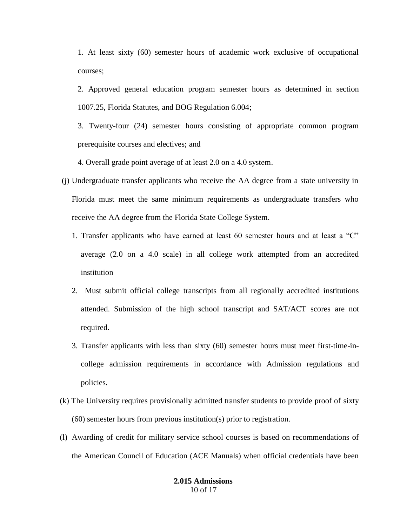1. At least sixty (60) semester hours of academic work exclusive of occupational courses;

- 2. Approved general education program semester hours as determined in section 1007.25, Florida Statutes, and BOG Regulation 6.004;
- 3. Twenty-four (24) semester hours consisting of appropriate common program prerequisite courses and electives; and
- 4. Overall grade point average of at least 2.0 on a 4.0 system.
- (j) Undergraduate transfer applicants who receive the AA degree from a state university in Florida must meet the same minimum requirements as undergraduate transfers who receive the AA degree from the Florida State College System.
	- 1. Transfer applicants who have earned at least 60 semester hours and at least a "C" average (2.0 on a 4.0 scale) in all college work attempted from an accredited institution
	- 2. Must submit official college transcripts from all regionally accredited institutions attended. Submission of the high school transcript and SAT/ACT scores are not required.
	- 3. Transfer applicants with less than sixty (60) semester hours must meet first-time-incollege admission requirements in accordance with Admission regulations and policies.
- (k) The University requires provisionally admitted transfer students to provide proof of sixty (60) semester hours from previous institution(s) prior to registration.
- (l) Awarding of credit for military service school courses is based on recommendations of the American Council of Education (ACE Manuals) when official credentials have been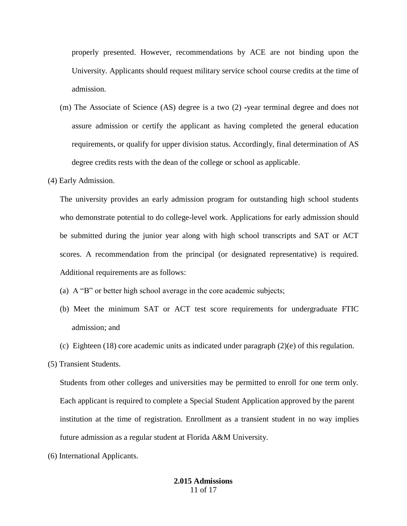properly presented. However, recommendations by ACE are not binding upon the University. Applicants should request military service school course credits at the time of admission.

- (m) The Associate of Science (AS) degree is a two (2) -year terminal degree and does not assure admission or certify the applicant as having completed the general education requirements, or qualify for upper division status. Accordingly, final determination of AS degree credits rests with the dean of the college or school as applicable.
- (4) Early Admission.

The university provides an early admission program for outstanding high school students who demonstrate potential to do college-level work. Applications for early admission should be submitted during the junior year along with high school transcripts and SAT or ACT scores. A recommendation from the principal (or designated representative) is required. Additional requirements are as follows:

- (a) A "B" or better high school average in the core academic subjects;
- (b) Meet the minimum SAT or ACT test score requirements for undergraduate FTIC admission; and
- (c) Eighteen (18) core academic units as indicated under paragraph  $(2)(e)$  of this regulation.
- (5) Transient Students.

Students from other colleges and universities may be permitted to enroll for one term only. Each applicant is required to complete a Special Student Application approved by the parent institution at the time of registration. Enrollment as a transient student in no way implies future admission as a regular student at Florida A&M University.

(6) International Applicants.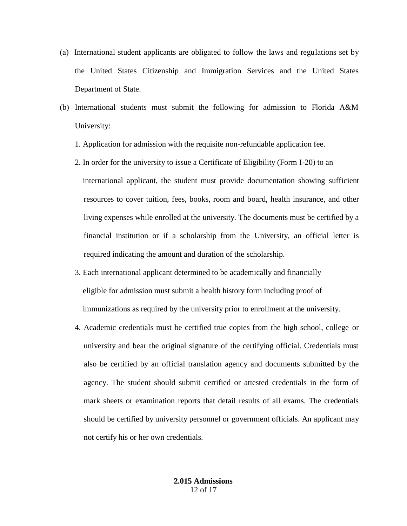- (a) International student applicants are obligated to follow the laws and regulations set by the United States Citizenship and Immigration Services and the United States Department of State.
- (b) International students must submit the following for admission to Florida A&M University:
	- 1. Application for admission with the requisite non-refundable application fee.
	- 2. In order for the university to issue a Certificate of Eligibility (Form I-20) to an international applicant, the student must provide documentation showing sufficient resources to cover tuition, fees, books, room and board, health insurance, and other living expenses while enrolled at the university. The documents must be certified by a financial institution or if a scholarship from the University, an official letter is required indicating the amount and duration of the scholarship.
	- 3. Each international applicant determined to be academically and financially eligible for admission must submit a health history form including proof of immunizations as required by the university prior to enrollment at the university.
	- 4. Academic credentials must be certified true copies from the high school, college or university and bear the original signature of the certifying official. Credentials must also be certified by an official translation agency and documents submitted by the agency. The student should submit certified or attested credentials in the form of mark sheets or examination reports that detail results of all exams. The credentials should be certified by university personnel or government officials. An applicant may not certify his or her own credentials.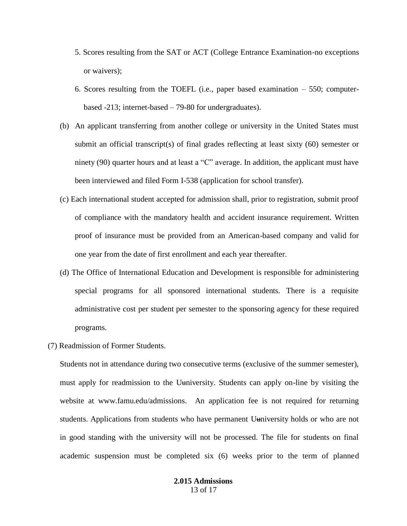- 5. Scores resulting from the SAT or ACT (College Entrance Examination-no exceptions or waivers);
- 6. Scores resulting from the TOEFL (i.e., paper based examination 550; computerbased -213; internet-based – 79-80 for undergraduates).
- (b) An applicant transferring from another college or university in the United States must submit an official transcript(s) of final grades reflecting at least sixty (60) semester or ninety (90) quarter hours and at least a "C" average. In addition, the applicant must have been interviewed and filed Form I-538 (application for school transfer).
- (c) Each international student accepted for admission shall, prior to registration, submit proof of compliance with the mandatory health and accident insurance requirement. Written proof of insurance must be provided from an American-based company and valid for one year from the date of first enrollment and each year thereafter.
- (d) The Office of International Education and Development is responsible for administering special programs for all sponsored international students. There is a requisite administrative cost per student per semester to the sponsoring agency for these required programs.
- (7) Readmission of Former Students.

Students not in attendance during two consecutive terms (exclusive of the summer semester), must apply for readmission to the Uuniversity. Students can apply on-line by visiting the website at www.famu.edu/admissions. An application fee is not required for returning students. Applications from students who have permanent Uuniversity holds or who are not in good standing with the university will not be processed. The file for students on final academic suspension must be completed six (6) weeks prior to the term of planned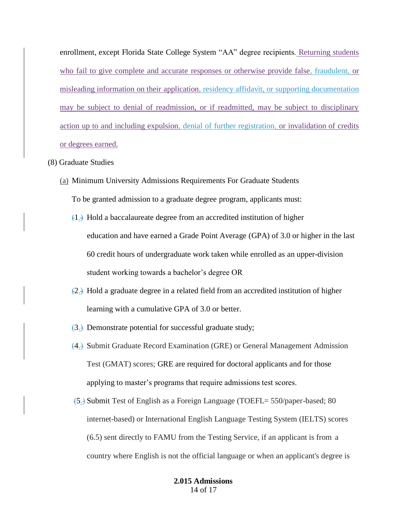enrollment, except Florida State College System "AA" degree recipients. Returning students who fail to give complete and accurate responses or otherwise provide false, fraudulent, or misleading information on their application, residency affidavit, or supporting documentation may be subject to denial of readmission, or if readmitted, may be subject to disciplinary action up to and including expulsion, denial of further registration, or invalidation of credits or degrees earned.

## (8) Graduate Studies

- (a) Minimum University Admissions Requirements For Graduate Students To be granted admission to a graduate degree program, applicants must:
	- $(1)$ .) Hold a baccalaureate degree from an accredited institution of higher education and have earned a Grade Point Average (GPA) of 3.0 or higher in the last 60 credit hours of undergraduate work taken while enrolled as an upper-division student working towards a bachelor's degree OR
	- $(2)$ .) Hold a graduate degree in a related field from an accredited institution of higher learning with a cumulative GPA of 3.0 or better.
	- $(3)$  Demonstrate potential for successful graduate study;
	- (4.) Submit Graduate Record Examination (GRE) or General Management Admission Test (GMAT) scores; GRE are required for doctoral applicants and for those applying to master's programs that require admissions test scores.
	- (5.) Submit Test of English as a Foreign Language (TOEFL= 550/paper-based; 80 internet-based) or International English Language Testing System (IELTS) scores (6.5) sent directly to FAMU from the Testing Service, if an applicant is from a country where English is not the official language or when an applicant's degree is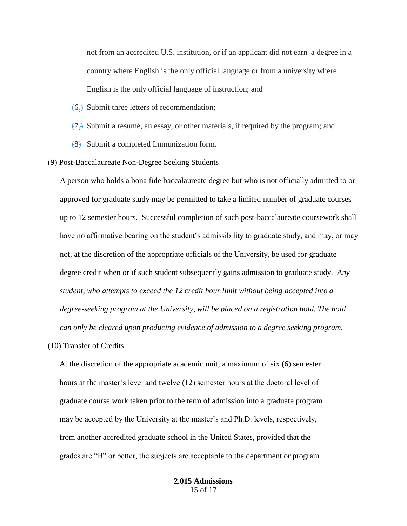not from an accredited U.S. institution, or if an applicant did not earn a degree in a country where English is the only official language or from a university where English is the only official language of instruction; and

- (6.) Submit three letters of recommendation;
- (7.) Submit a résumé, an essay, or other materials, if required by the program; and
- $(8)$  Submit a completed Immunization form.

(9) Post-Baccalaureate Non-Degree Seeking Students

A person who holds a bona fide baccalaureate degree but who is not officially admitted to or approved for graduate study may be permitted to take a limited number of graduate courses up to 12 semester hours. Successful completion of such post-baccalaureate coursework shall have no affirmative bearing on the student's admissibility to graduate study, and may, or may not, at the discretion of the appropriate officials of the University, be used for graduate degree credit when or if such student subsequently gains admission to graduate study. *Any student, who attempts to exceed the 12 credit hour limit without being accepted into a degree-seeking program at the University, will be placed on a registration hold. The hold can only be cleared upon producing evidence of admission to a degree seeking program.*

(10) Transfer of Credits

At the discretion of the appropriate academic unit, a maximum of six (6) semester hours at the master's level and twelve (12) semester hours at the doctoral level of graduate course work taken prior to the term of admission into a graduate program may be accepted by the University at the master's and Ph.D. levels, respectively, from another accredited graduate school in the United States, provided that the grades are "B" or better, the subjects are acceptable to the department or program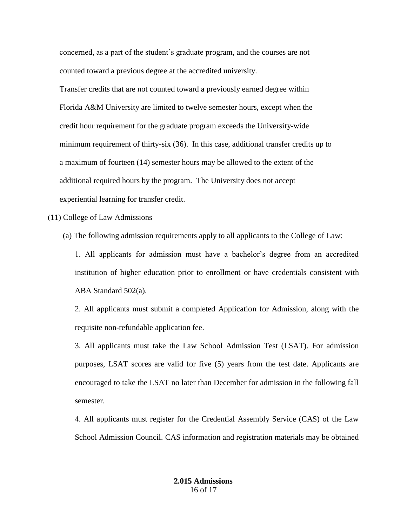concerned, as a part of the student's graduate program, and the courses are not counted toward a previous degree at the accredited university.

Transfer credits that are not counted toward a previously earned degree within Florida A&M University are limited to twelve semester hours, except when the credit hour requirement for the graduate program exceeds the University-wide minimum requirement of thirty-six (36). In this case, additional transfer credits up to a maximum of fourteen (14) semester hours may be allowed to the extent of the additional required hours by the program. The University does not accept experiential learning for transfer credit.

(11) College of Law Admissions

(a) The following admission requirements apply to all applicants to the College of Law:

1. All applicants for admission must have a bachelor's degree from an accredited institution of higher education prior to enrollment or have credentials consistent with ABA Standard 502(a).

2. All applicants must submit a completed Application for Admission, along with the requisite non-refundable application fee.

3. All applicants must take the Law School Admission Test (LSAT). For admission purposes, LSAT scores are valid for five (5) years from the test date. Applicants are encouraged to take the LSAT no later than December for admission in the following fall semester.

4. All applicants must register for the Credential Assembly Service (CAS) of the Law School Admission Council. CAS information and registration materials may be obtained